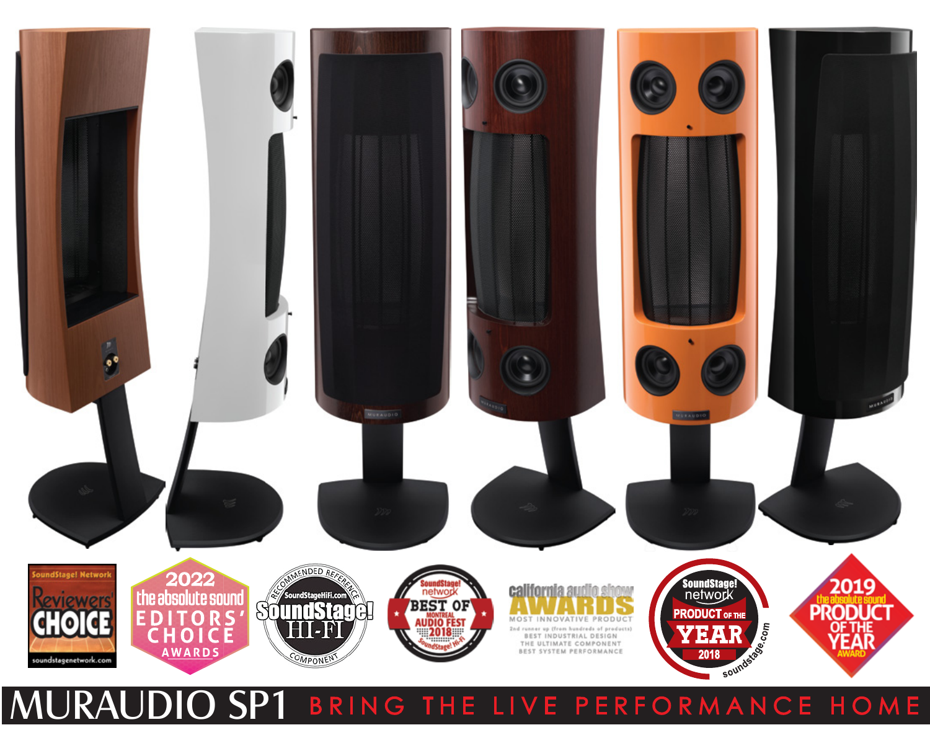